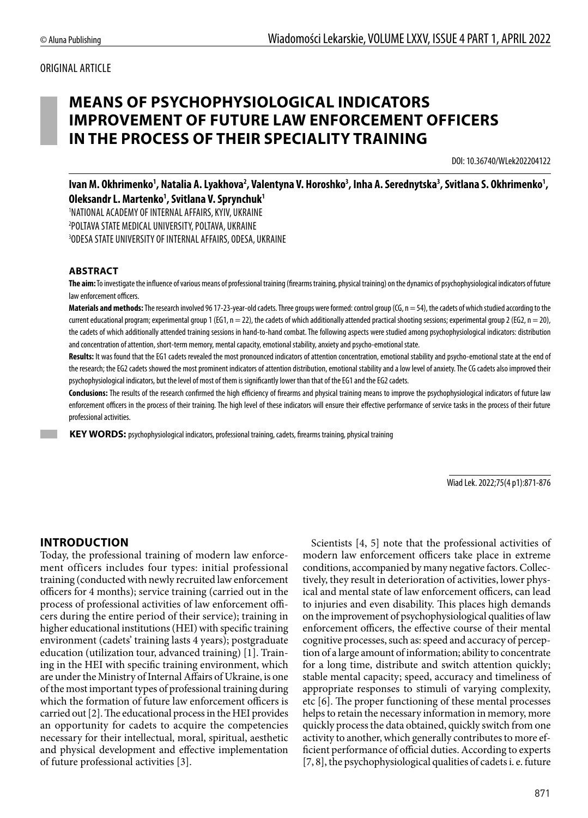## ORIGINAL ARTICLE

# **MEANS OF PSYCHOPHYSIOLOGICAL INDICATORS IMPROVEMENT OF FUTURE LAW ENFORCEMENT OFFICERS IN THE PROCESS OF THEIR SPECIALITY TRAINING**

DOI: 10.36740/WLek202204122

lvan M. Okhrimenko<sup>1</sup>, Natalia A. Lyakhova<sup>2</sup>, Valentyna V. Horoshko<sup>3</sup>, Inha A. Serednytska<sup>3</sup>, Svitlana S. Okhrimenko<sup>1</sup>, **Oleksandr L. Martenko1 , Svitlana V. Sprynchuk1**

1 NATIONAL ACADEMY OF INTERNAL AFFAIRS, KYIV, UKRAINE 2 POLTAVA STATE MEDICAL UNIVERSITY, POLTAVA, UKRAINE 3 ODESA STATE UNIVERSITY OF INTERNAL AFFAIRS, ODESA, UKRAINE

#### **ABSTRACT**

**The aim:** To investigate the influence of various means of professional training (firearms training, physical training) on the dynamics of psychophysiological indicators of future law enforcement officers.

Materials and methods: The research involved 96 17-23-year-old cadets. Three groups were formed: control group (CG, n = 54), the cadets of which studied according to the current educational program; experimental group 1 (EG1,  $n = 22$ ), the cadets of which additionally attended practical shooting sessions; experimental group 2 (EG2,  $n = 20$ ), the cadets of which additionally attended training sessions in hand-to-hand combat. The following aspects were studied among psychophysiological indicators: distribution and concentration of attention, short-term memory, mental capacity, emotional stability, anxiety and psycho-emotional state.

Results: It was found that the EG1 cadets revealed the most pronounced indicators of attention concentration, emotional stability and psycho-emotional state at the end of the research; the EG2 cadets showed the most prominent indicators of attention distribution, emotional stability and a low level of anxiety. The CG cadets also improved their psychophysiological indicators, but the level of most of them is significantly lower than that of the EG1 and the EG2 cadets.

**Conclusions:** The results of the research confirmed the high efficiency of firearms and physical training means to improve the psychophysiological indicators of future law enforcement officers in the process of their training. The high level of these indicators will ensure their effective performance of service tasks in the process of their future professional activities.

**KEY WORDS:** psychophysiological indicators, professional training, cadets, firearms training, physical training

Wiad Lek. 2022;75(4 p1):871-876

### **INTRODUCTION**

Today, the professional training of modern law enforcement officers includes four types: initial professional training (conducted with newly recruited law enforcement officers for 4 months); service training (carried out in the process of professional activities of law enforcement officers during the entire period of their service); training in higher educational institutions (HEI) with specific training environment (cadets' training lasts 4 years); postgraduate education (utilization tour, advanced training) [1]. Training in the HEI with specific training environment, which are under the Ministry of Internal Affairs of Ukraine, is one of the most important types of professional training during which the formation of future law enforcement officers is carried out [2]. The educational process in the HEI provides an opportunity for cadets to acquire the competencies necessary for their intellectual, moral, spiritual, aesthetic and physical development and effective implementation of future professional activities [3].

Scientists [4, 5] note that the professional activities of modern law enforcement officers take place in extreme conditions, accompanied by many negative factors. Collectively, they result in deterioration of activities, lower physical and mental state of law enforcement officers, can lead to injuries and even disability. This places high demands on the improvement of psychophysiological qualities of law enforcement officers, the effective course of their mental cognitive processes, such as: speed and accuracy of perception of a large amount of information; ability to concentrate for a long time, distribute and switch attention quickly; stable mental capacity; speed, accuracy and timeliness of appropriate responses to stimuli of varying complexity, etc [6]. The proper functioning of these mental processes helps to retain the necessary information in memory, more quickly process the data obtained, quickly switch from one activity to another, which generally contributes to more efficient performance of official duties. According to experts [7, 8], the psychophysiological qualities of cadets i. e. future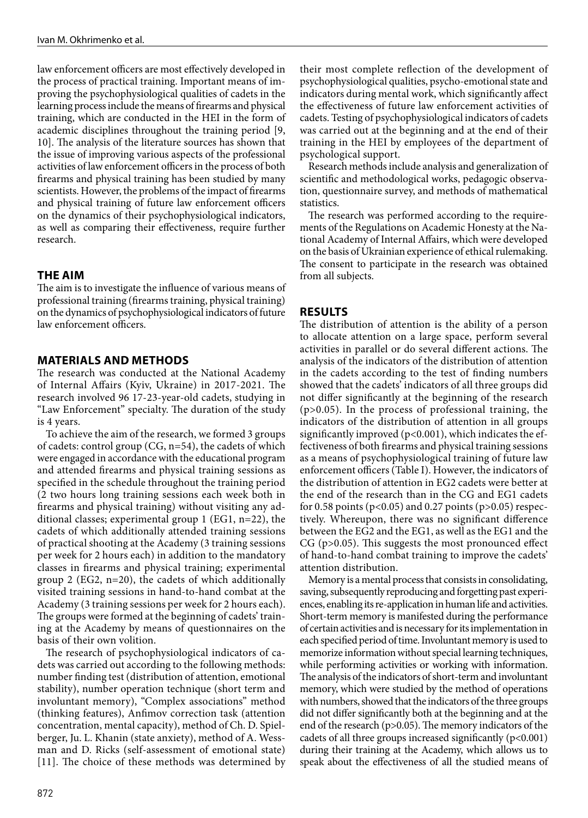law enforcement officers are most effectively developed in the process of practical training. Important means of improving the psychophysiological qualities of cadets in the learning process include the means of firearms and physical training, which are conducted in the HEI in the form of academic disciplines throughout the training period [9, 10]. The analysis of the literature sources has shown that the issue of improving various aspects of the professional activities of law enforcement officers in the process of both firearms and physical training has been studied by many scientists. However, the problems of the impact of firearms and physical training of future law enforcement officers on the dynamics of their psychophysiological indicators, as well as comparing their effectiveness, require further research.

# **THE AIM**

The aim is to investigate the influence of various means of professional training (firearms training, physical training) on the dynamics of psychophysiological indicators of future law enforcement officers.

# **MATERIALS AND METHODS**

The research was conducted at the National Academy of Internal Affairs (Kyiv, Ukraine) in 2017-2021. The research involved 96 17-23-year-old cadets, studying in "Law Enforcement" specialty. The duration of the study is 4 years.

To achieve the aim of the research, we formed 3 groups of cadets: control group (CG, n=54), the cadets of which were engaged in accordance with the educational program and attended firearms and physical training sessions as specified in the schedule throughout the training period (2 two hours long training sessions each week both in firearms and physical training) without visiting any additional classes; experimental group 1 (EG1, n=22), the cadets of which additionally attended training sessions of practical shooting at the Academy (3 training sessions per week for 2 hours each) in addition to the mandatory classes in firearms and physical training; experimental group 2 (EG2, n=20), the cadets of which additionally visited training sessions in hand-to-hand combat at the Academy (3 training sessions per week for 2 hours each). The groups were formed at the beginning of cadets' training at the Academy by means of questionnaires on the basis of their own volition.

The research of psychophysiological indicators of cadets was carried out according to the following methods: number finding test (distribution of attention, emotional stability), number operation technique (short term and involuntant memory), "Complex associations" method (thinking features), Anfimov correction task (attention concentration, mental capacity), method of Ch. D. Spielberger, Ju. L. Khanin (state anxiety), method of A. Wessman and D. Ricks (self-assessment of emotional state) [11]. The choice of these methods was determined by their most complete reflection of the development of psychophysiological qualities, psycho-emotional state and indicators during mental work, which significantly affect the effectiveness of future law enforcement activities of cadets. Testing of psychophysiological indicators of cadets was carried out at the beginning and at the end of their training in the HEI by employees of the department of psychological support.

Research methods include analysis and generalization of scientific and methodological works, pedagogic observation, questionnaire survey, and methods of mathematical statistics.

The research was performed according to the requirements of the Regulations on Academic Honesty at the National Academy of Internal Affairs, which were developed on the basis of Ukrainian experience of ethical rulemaking. The consent to participate in the research was obtained from all subjects.

## **RESULTS**

The distribution of attention is the ability of a person to allocate attention on a large space, perform several activities in parallel or do several different actions. The analysis of the indicators of the distribution of attention in the cadets according to the test of finding numbers showed that the cadets' indicators of all three groups did not differ significantly at the beginning of the research (р>0.05). In the process of professional training, the indicators of the distribution of attention in all groups significantly improved (p<0.001), which indicates the effectiveness of both firearms and physical training sessions as a means of psychophysiological training of future law enforcement officers (Table І). However, the indicators of the distribution of attention in EG2 cadets were better at the end of the research than in the CG and EG1 cadets for 0.58 points (р<0.05) and 0.27 points (р>0.05) respectively. Whereupon, there was no significant difference between the EG2 and the EG1, as well as the EG1 and the CG (р>0.05). This suggests the most pronounced effect of hand-to-hand combat training to improve the cadets' attention distribution.

Memory is a mental process that consists in consolidating, saving, subsequently reproducing and forgetting past experiences, enabling its re-application in human life and activities. Short-term memory is manifested during the performance of certain activities and is necessary for its implementation in each specified period of time. Involuntant memory is used to memorize information without special learning techniques, while performing activities or working with information. The analysis of the indicators of short-term and involuntant memory, which were studied by the method of operations with numbers, showed that the indicators of the three groups did not differ significantly both at the beginning and at the end of the research (p>0.05). The memory indicators of the cadets of all three groups increased significantly  $(p<0.001)$ during their training at the Academy, which allows us to speak about the effectiveness of all the studied means of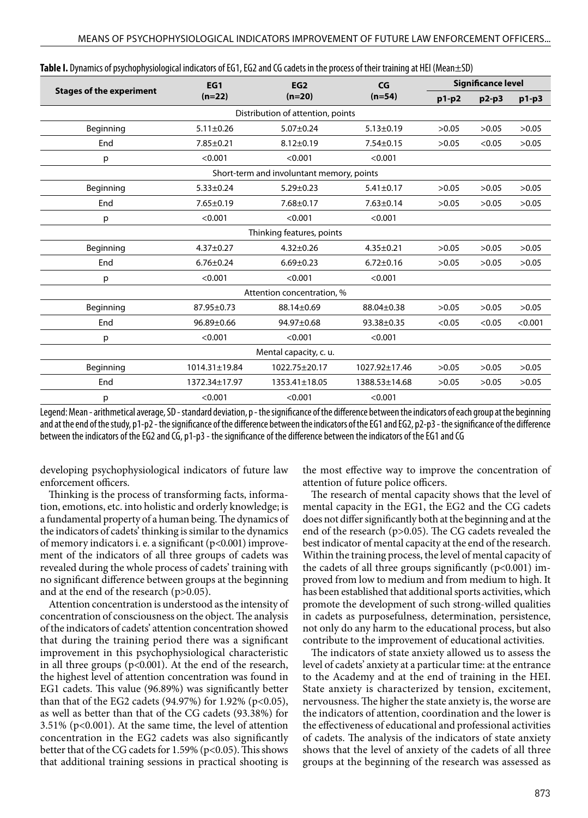|                                 | EG1             | EG2                                       | CG              | <b>Significance level</b> |         |         |
|---------------------------------|-----------------|-------------------------------------------|-----------------|---------------------------|---------|---------|
| <b>Stages of the experiment</b> | $(n=22)$        | $(n=20)$                                  | $(n=54)$        | p1-p2                     | $p2-p3$ | $p1-p3$ |
|                                 |                 | Distribution of attention, points         |                 |                           |         |         |
| Beginning                       | $5.11 \pm 0.26$ | $5.07 + 0.24$                             | $5.13 \pm 0.19$ | >0.05                     | >0.05   | >0.05   |
| End                             | $7.85 \pm 0.21$ | $8.12 \pm 0.19$                           | $7.54 \pm 0.15$ | >0.05                     | < 0.05  | >0.05   |
| p                               | < 0.001         | < 0.001                                   | < 0.001         |                           |         |         |
|                                 |                 | Short-term and involuntant memory, points |                 |                           |         |         |
| Beginning                       | $5.33 \pm 0.24$ | $5.29 \pm 0.23$                           | $5.41 \pm 0.17$ | >0.05                     | >0.05   | >0.05   |
| End                             | $7.65 \pm 0.19$ | $7.68 \pm 0.17$                           | $7.63 \pm 0.14$ | >0.05                     | >0.05   | >0.05   |
| p                               | < 0.001         | < 0.001                                   | < 0.001         |                           |         |         |
| Thinking features, points       |                 |                                           |                 |                           |         |         |
| Beginning                       | $4.37 \pm 0.27$ | $4.32 \pm 0.26$                           | $4.35 \pm 0.21$ | >0.05                     | >0.05   | >0.05   |
| End                             | $6.76 \pm 0.24$ | $6.69 \pm 0.23$                           | $6.72 \pm 0.16$ | >0.05                     | >0.05   | >0.05   |
| р                               | < 0.001         | < 0.001                                   | < 0.001         |                           |         |         |
| Attention concentration, %      |                 |                                           |                 |                           |         |         |
| Beginning                       | 87.95±0.73      | 88.14±0.69                                | 88.04±0.38      | >0.05                     | >0.05   | >0.05   |
| End                             | $96.89 + 0.66$  | 94.97±0.68                                | 93.38±0.35      | < 0.05                    | < 0.05  | < 0.001 |
| p                               | < 0.001         | < 0.001                                   | < 0.001         |                           |         |         |
| Mental capacity, c. u.          |                 |                                           |                 |                           |         |         |
| Beginning                       | 1014.31±19.84   | 1022.75±20.17                             | 1027.92±17.46   | >0.05                     | >0.05   | >0.05   |
| End                             | 1372.34±17.97   | 1353.41±18.05                             | 1388.53±14.68   | >0.05                     | >0.05   | >0.05   |
| р                               | < 0.001         | < 0.001                                   | < 0.001         |                           |         |         |

| <b>Table I.</b> Dynamics of psychophysiological indicators of EG1, EG2 and CG cadets in the process of their training at HEI (Mean $\pm$ SD) |  |  |
|----------------------------------------------------------------------------------------------------------------------------------------------|--|--|
|----------------------------------------------------------------------------------------------------------------------------------------------|--|--|

Legend: Mean - arithmetical average, SD - standard deviation, p - the significance of the difference between the indicators of each group at the beginning and at the end of the study, р1-р2 - the significance of the difference between the indicators of the EG1 and EG2, р2-р3 - the significance of the difference between the indicators of the EG2 and CG, р1-р3 - the significance of the difference between the indicators of the EG1 and CG

developing psychophysiological indicators of future law enforcement officers.

Thinking is the process of transforming facts, information, emotions, etc. into holistic and orderly knowledge; is a fundamental property of a human being. The dynamics of the indicators of cadets' thinking is similar to the dynamics of memory indicators i. e. a significant (р<0.001) improvement of the indicators of all three groups of cadets was revealed during the whole process of cadets' training with no significant difference between groups at the beginning and at the end of the research (р>0.05).

Attention concentration is understood as the intensity of concentration of consciousness on the object. The analysis of the indicators of cadets' attention concentration showed that during the training period there was a significant improvement in this psychophysiological characteristic in all three groups (p<0.001). At the end of the research, the highest level of attention concentration was found in EG1 cadets. This value (96.89%) was significantly better than that of the EG2 cadets (94.97%) for 1.92% ( $p$ <0.05), as well as better than that of the CG cadets (93.38%) for 3.51% (р<0.001). At the same time, the level of attention concentration in the EG2 cadets was also significantly better that of the CG cadets for 1.59% (p<0.05). This shows that additional training sessions in practical shooting is the most effective way to improve the concentration of attention of future police officers.

The research of mental capacity shows that the level of mental capacity in the EG1, the EG2 and the CG cadets does not differ significantly both at the beginning and at the end of the research (p>0.05). The CG cadets revealed the best indicator of mental capacity at the end of the research. Within the training process, the level of mental capacity of the cadets of all three groups significantly  $(p<0.001)$  improved from low to medium and from medium to high. It has been established that additional sports activities, which promote the development of such strong-willed qualities in cadets as purposefulness, determination, persistence, not only do any harm to the educational process, but also contribute to the improvement of educational activities.

The indicators of state anxiety allowed us to assess the level of cadets' anxiety at a particular time: at the entrance to the Academy and at the end of training in the HEI. State anxiety is characterized by tension, excitement, nervousness. The higher the state anxiety is, the worse are the indicators of attention, coordination and the lower is the effectiveness of educational and professional activities of cadets. The analysis of the indicators of state anxiety shows that the level of anxiety of the cadets of all three groups at the beginning of the research was assessed as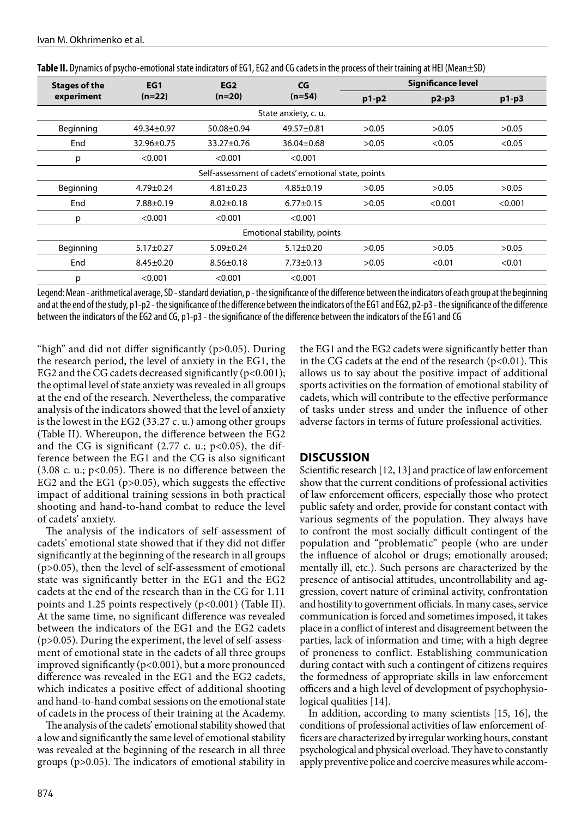| <b>Stages of the</b>                               | EG1             | EG <sub>2</sub> | CG               | <b>Significance level</b> |         |         |
|----------------------------------------------------|-----------------|-----------------|------------------|---------------------------|---------|---------|
| experiment                                         | $(n=22)$        | $(n=20)$        | $(n=54)$         | $p1-p2$                   | $p2-p3$ | $p1-p3$ |
| State anxiety, c. u.                               |                 |                 |                  |                           |         |         |
| Beginning                                          | 49.34±0.97      | 50.08±0.94      | 49.57±0.81       | >0.05                     | >0.05   | >0.05   |
| End                                                | 32.96±0.75      | 33.27±0.76      | $36.04 \pm 0.68$ | >0.05                     | < 0.05  | < 0.05  |
| p                                                  | < 0.001         | < 0.001         | < 0.001          |                           |         |         |
| Self-assessment of cadets' emotional state, points |                 |                 |                  |                           |         |         |
| Beginning                                          | $4.79 \pm 0.24$ | $4.81 \pm 0.23$ | $4.85 \pm 0.19$  | >0.05                     | >0.05   | >0.05   |
| End                                                | $7.88 \pm 0.19$ | $8.02 \pm 0.18$ | $6.77 \pm 0.15$  | >0.05                     | < 0.001 | < 0.001 |
| p                                                  | < 0.001         | < 0.001         | < 0.001          |                           |         |         |
| Emotional stability, points                        |                 |                 |                  |                           |         |         |
| Beginning                                          | $5.17 \pm 0.27$ | $5.09 \pm 0.24$ | $5.12 \pm 0.20$  | >0.05                     | >0.05   | >0.05   |
| End                                                | $8.45 \pm 0.20$ | $8.56 \pm 0.18$ | $7.73 \pm 0.13$  | >0.05                     | < 0.01  | < 0.01  |
| р                                                  | < 0.001         | < 0.001         | < 0.001          |                           |         |         |

| Table II. Dynamics of psycho-emotional state indicators of EG1, EG2 and CG cadets in the process of their training at HEI (Mean±SD) |  |
|-------------------------------------------------------------------------------------------------------------------------------------|--|
|                                                                                                                                     |  |

Legend: Mean - arithmetical average, SD - standard deviation, p - the significance of the difference between the indicators of each group at the beginning and at the end of the study, р1-р2 - the significance of the difference between the indicators of the EG1 and EG2, р2-р3 - the significance of the difference between the indicators of the EG2 and CG, p1-p3 - the significance of the difference between the indicators of the EG1 and CG

"high" and did not differ significantly (р>0.05). During the research period, the level of anxiety in the EG1, the EG2 and the CG cadets decreased significantly  $(p<0.001)$ ; the optimal level of state anxiety was revealed in all groups at the end of the research. Nevertheless, the comparative analysis of the indicators showed that the level of anxiety is the lowest in the EG2 (33.27 c. u.) among other groups (Table ІІ). Whereupon, the difference between the EG2 and the CG is significant  $(2.77 \text{ c. u.}; \text{p} < 0.05)$ , the difference between the EG1 and the CG is also significant (3.08 c. u.;  $p<0.05$ ). There is no difference between the EG2 and the EG1 (р>0.05), which suggests the effective impact of additional training sessions in both practical shooting and hand-to-hand combat to reduce the level of cadets' anxiety.

The analysis of the indicators of self-assessment of cadets' emotional state showed that if they did not differ significantly at the beginning of the research in all groups (р>0.05), then the level of self-assessment of emotional state was significantly better in the EG1 and the EG2 cadets at the end of the research than in the CG for 1.11 points and 1.25 points respectively (р<0.001) (Table ІІ). At the same time, no significant difference was revealed between the indicators of the EG1 and the EG2 cadets (р>0.05). During the experiment, the level of self-assessment of emotional state in the cadets of all three groups improved significantly (р<0.001), but a more pronounced difference was revealed in the EG1 and the EG2 cadets, which indicates a positive effect of additional shooting and hand-to-hand combat sessions on the emotional state of cadets in the process of their training at the Academy.

The analysis of the cadets' emotional stability showed that a low and significantly the same level of emotional stability was revealed at the beginning of the research in all three groups (р>0.05). The indicators of emotional stability in the EG1 and the EG2 cadets were significantly better than in the CG cadets at the end of the research  $(p<0.01)$ . This allows us to say about the positive impact of additional sports activities on the formation of emotional stability of cadets, which will contribute to the effective performance of tasks under stress and under the influence of other adverse factors in terms of future professional activities.

### **DISCUSSION**

Scientific research [12, 13] and practice of law enforcement show that the current conditions of professional activities of law enforcement officers, especially those who protect public safety and order, provide for constant contact with various segments of the population. They always have to confront the most socially difficult contingent of the population and "problematic" people (who are under the influence of alcohol or drugs; emotionally aroused; mentally ill, etc.). Such persons are characterized by the presence of antisocial attitudes, uncontrollability and aggression, covert nature of criminal activity, confrontation and hostility to government officials. In many cases, service communication is forced and sometimes imposed, it takes place in a conflict of interest and disagreement between the parties, lack of information and time; with a high degree of proneness to conflict. Establishing communication during contact with such a contingent of citizens requires the formedness of appropriate skills in law enforcement officers and a high level of development of psychophysiological qualities [14].

In addition, according to many scientists [15, 16], the conditions of professional activities of law enforcement officers are characterized by irregular working hours, constant psychological and physical overload. They have to constantly apply preventive police and coercive measures while accom-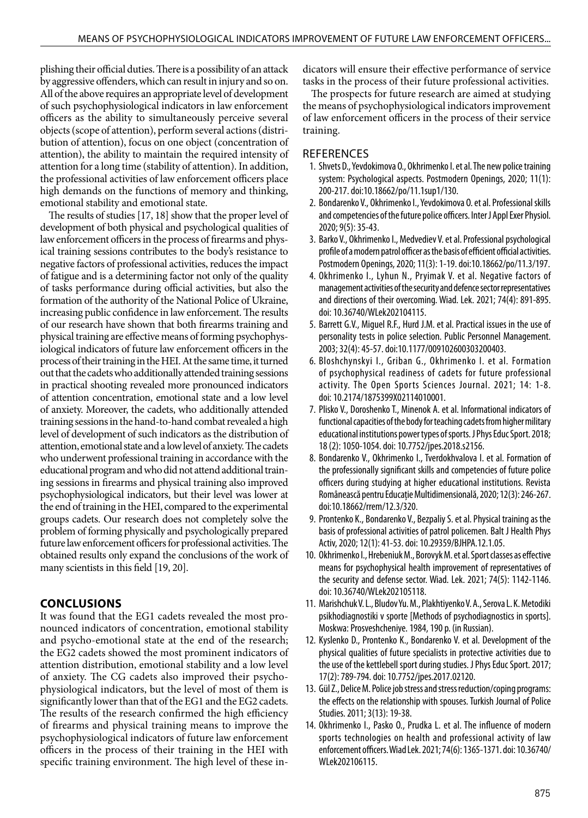plishing their official duties. There is a possibility of an attack by aggressive offenders, which can result in injury and so on. All of the above requires an appropriate level of development of such psychophysiological indicators in law enforcement officers as the ability to simultaneously perceive several objects (scope of attention), perform several actions (distribution of attention), focus on one object (concentration of attention), the ability to maintain the required intensity of attention for a long time (stability of attention). In addition, the professional activities of law enforcement officers place high demands on the functions of memory and thinking, emotional stability and emotional state.

The results of studies [17, 18] show that the proper level of development of both physical and psychological qualities of law enforcement officers in the process of firearms and physical training sessions contributes to the body's resistance to negative factors of professional activities, reduces the impact of fatigue and is a determining factor not only of the quality of tasks performance during official activities, but also the formation of the authority of the National Police of Ukraine, increasing public confidence in law enforcement. The results of our research have shown that both firearms training and physical training are effective means of forming psychophysiological indicators of future law enforcement officers in the process of their training in the HEI. At the same time, it turned out that the cadets who additionally attended training sessions in practical shooting revealed more pronounced indicators of attention concentration, emotional state and a low level of anxiety. Moreover, the cadets, who additionally attended training sessions in the hand-to-hand combat revealed a high level of development of such indicators as the distribution of attention, emotional state and a low level of anxiety. The cadets who underwent professional training in accordance with the educational program and who did not attend additional training sessions in firearms and physical training also improved psychophysiological indicators, but their level was lower at the end of training in the HEI, compared to the experimental groups cadets. Our research does not completely solve the problem of forming physically and psychologically prepared future law enforcement officers for professional activities. The obtained results only expand the conclusions of the work of many scientists in this field [19, 20].

#### **CONCLUSIONS**

It was found that the EG1 cadets revealed the most pronounced indicators of concentration, emotional stability and psycho-emotional state at the end of the research; the EG2 cadets showed the most prominent indicators of attention distribution, emotional stability and a low level of anxiety. The CG cadets also improved their psychophysiological indicators, but the level of most of them is significantly lower than that of the EG1 and the EG2 cadets. The results of the research confirmed the high efficiency of firearms and physical training means to improve the psychophysiological indicators of future law enforcement officers in the process of their training in the HEI with specific training environment. The high level of these indicators will ensure their effective performance of service tasks in the process of their future professional activities.

The prospects for future research are aimed at studying the means of psychophysiological indicators improvement of law enforcement officers in the process of their service training.

#### REFERENCES

- 1. Shvets D., Yevdokimova O., Okhrimenko I. et al. The new police training system: Psychological aspects. Postmodern Openings, 2020; 11(1): 200-217. doi:10.18662/po/11.1sup1/130.
- 2. Bondarenko V., Okhrimenko I., Yevdokimova O. et al. Professional skills and competencies of the future police officers. Inter J Appl Exer Physiol. 2020; 9(5): 35-43.
- 3. Barko V., Okhrimenko I., Medvediev V. et al. Professional psychological profile of a modern patrol officer as the basis of efficient official activities. Postmodern Openings, 2020; 11(3): 1-19. doi:10.18662/po/11.3/197.
- 4. Okhrimenko I., Lyhun N., Pryimak V. et al. Negative factors of management activities of the security and defence sector representatives and directions of their overcoming. Wiad. Lek. 2021; 74(4): 891-895. doi: 10.36740/WLek202104115.
- 5. Barrett G.V., Miguel R.F., Hurd J.M. et al. Practical issues in the use of personality tests in police selection. Public Personnel Management. 2003; 32(4): 45-57. doi:10.1177/009102600303200403.
- 6. Bloshchynskyi I., Griban G., Okhrimenko I. et al. Formation of psychophysical readiness of cadets for future professional activity. The Open Sports Sciences Journal. 2021; 14: 1-8. doi: 10.2174/1875399X02114010001.
- 7. Plisko V., Doroshenko T., Minenok A. et al. Informational indicators of functional capacities of the body for teaching cadets from higher military educational institutions power types of sports. J Phys Educ Sport. 2018; 18 (2): 1050-1054. doi: 10.7752/jpes.2018.s2156.
- 8. Bondarenko V., Okhrimenko I., Tverdokhvalova I. et al. Formation of the professionally significant skills and competencies of future police officers during studying at higher educational institutions. Revista Românească pentru Educaţie Multidimensională, 2020; 12(3): 246-267. doi:10.18662/rrem/12.3/320.
- 9. Prontenko K., Bondarenko V., Bezpaliy S. et al. Physical training as the basis of professional activities of patrol policemen. Balt J Health Phys Activ, 2020; 12(1): 41-53. doi: 10.29359/BJHPA.12.1.05.
- 10. Okhrimenko I., Hrebeniuk M., Borovyk M. et al. Sport classes as effective means for psychophysical health improvement of representatives of the security and defense sector. Wiad. Lek. 2021; 74(5): 1142-1146. doi: 10.36740/WLek202105118.
- 11. Marishchuk V. L., Bludov Yu. M., Plakhtiyenko V. A., Serova L. K. Metodiki psikhodiagnostiki v sporte [Methods of psychodiagnostics in sports]. Moskwa: Prosveshcheniye. 1984, 190 p. (in Russian).
- 12. Kуslenko D., Prontenko K., Bondarenko V. et al. Development of the physical qualities of future specialists in protective activities due to the use of the kettlebell sport during studies. J Phys Educ Sport. 2017; 17(2): 789-794. doi: 10.7752/jpes.2017.02120.
- 13. Gül Z., Delice M. Police job stress and stress reduction/coping programs: the effects on the relationship with spouses. Turkish Journal of Police Studies. 2011; 3(13): 19-38.
- 14. Okhrimenko I., Pasko O., Prudka L. et al. The influence of modern sports technologies on health and professional activity of law enforcement officers. Wiad Lek. 2021; 74(6): 1365-1371. doi: 10.36740/ WLek202106115.